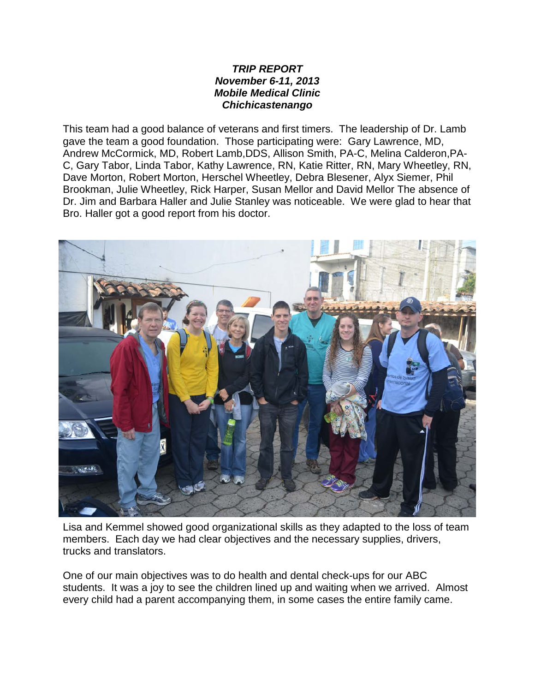## *TRIP REPORT November 6-11, 2013 Mobile Medical Clinic Chichicastenango*

This team had a good balance of veterans and first timers. The leadership of Dr. Lamb gave the team a good foundation. Those participating were: Gary Lawrence, MD, Andrew McCormick, MD, Robert Lamb,DDS, Allison Smith, PA-C, Melina Calderon,PA-C, Gary Tabor, Linda Tabor, Kathy Lawrence, RN, Katie Ritter, RN, Mary Wheetley, RN, Dave Morton, Robert Morton, Herschel Wheetley, Debra Blesener, Alyx Siemer, Phil Brookman, Julie Wheetley, Rick Harper, Susan Mellor and David Mellor The absence of Dr. Jim and Barbara Haller and Julie Stanley was noticeable. We were glad to hear that Bro. Haller got a good report from his doctor.



Lisa and Kemmel showed good organizational skills as they adapted to the loss of team members. Each day we had clear objectives and the necessary supplies, drivers, trucks and translators.

One of our main objectives was to do health and dental check-ups for our ABC students. It was a joy to see the children lined up and waiting when we arrived. Almost every child had a parent accompanying them, in some cases the entire family came.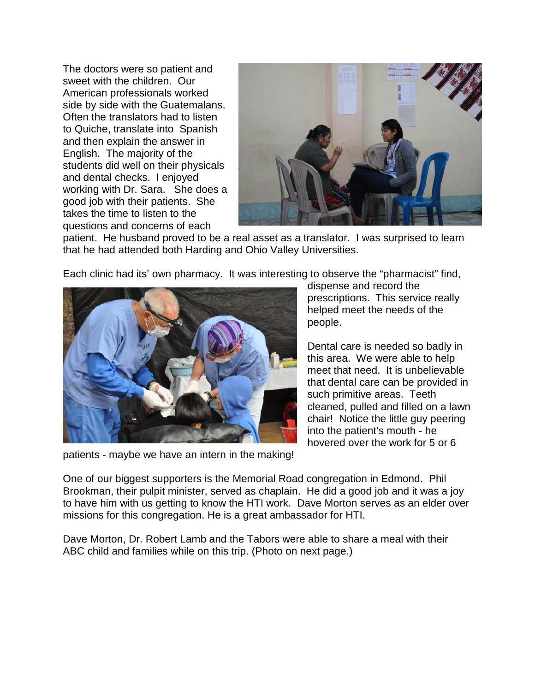The doctors were so patient and sweet with the children. Our American professionals worked side by side with the Guatemalans. Often the translators had to listen to Quiche, translate into Spanish and then explain the answer in English. The majority of the students did well on their physicals and dental checks. I enjoyed working with Dr. Sara. She does a good job with their patients. She takes the time to listen to the questions and concerns of each



patient. He husband proved to be a real asset as a translator. I was surprised to learn that he had attended both Harding and Ohio Valley Universities.

Each clinic had its' own pharmacy. It was interesting to observe the "pharmacist" find,



patients - maybe we have an intern in the making!

dispense and record the prescriptions. This service really helped meet the needs of the people.

Dental care is needed so badly in this area. We were able to help meet that need. It is unbelievable that dental care can be provided in such primitive areas. Teeth cleaned, pulled and filled on a lawn chair! Notice the little guy peering into the patient's mouth - he hovered over the work for 5 or 6

One of our biggest supporters is the Memorial Road congregation in Edmond. Phil Brookman, their pulpit minister, served as chaplain. He did a good job and it was a joy to have him with us getting to know the HTI work. Dave Morton serves as an elder over missions for this congregation. He is a great ambassador for HTI.

Dave Morton, Dr. Robert Lamb and the Tabors were able to share a meal with their ABC child and families while on this trip. (Photo on next page.)